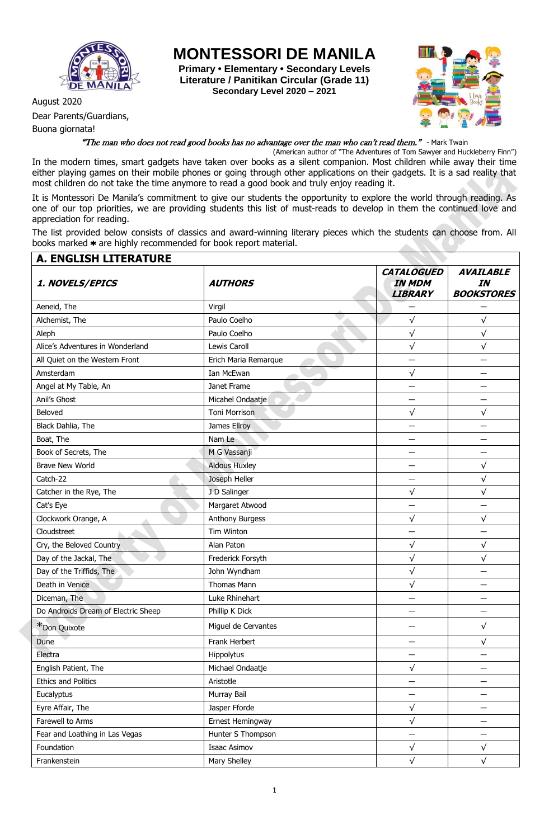

August 2020

Buona giornata!

Dear Parents/Guardians,

**MONTESSORI DE MANILA**

**Primary • Elementary • Secondary Levels Literature / Panitikan Circular (Grade 11) Secondary Level 2020 – 2021**



## "The man who does not read good books has no advantage over the man who can't read them." - Mark Twain

(American author of "The Adventures of Tom Sawyer and Huckleberry Finn") In the modern times, smart gadgets have taken over books as a silent companion. Most children while away their time either playing games on their mobile phones or going through other applications on their gadgets. It is a sad reality that most children do not take the time anymore to read a good book and truly enjoy reading it.

It is Montessori De Manila's commitment to give our students the opportunity to explore the world through reading. As one of our top priorities, we are providing students this list of must-reads to develop in them the continued love and appreciation for reading.

The list provided below consists of classics and award-winning literary pieces which the students can choose from. All books marked  $*$  are highly recommended for book report material.

| <b>A. ENGLISH LITERATURE</b>        |                      |                                                      |                                             |
|-------------------------------------|----------------------|------------------------------------------------------|---------------------------------------------|
| 1. NOVELS/EPICS                     | <b>AUTHORS</b>       | <b>CATALOGUED</b><br><b>IN MDM</b><br><b>LIBRARY</b> | <b>AVAILABLE</b><br>IN<br><b>BOOKSTORES</b> |
| Aeneid, The                         | Virgil               |                                                      |                                             |
| Alchemist, The                      | Paulo Coelho         | $\sqrt{}$                                            | $\sqrt{}$                                   |
| Aleph                               | Paulo Coelho         | $\sqrt{}$                                            | $\sqrt{}$                                   |
| Alice's Adventures in Wonderland    | Lewis Caroll         | $\sqrt{}$                                            | $\sqrt{}$                                   |
| All Quiet on the Western Front      | Erich Maria Remarque |                                                      |                                             |
| Amsterdam                           | Ian McEwan           | $\sqrt{}$                                            |                                             |
| Angel at My Table, An               | Janet Frame          |                                                      |                                             |
| Anil's Ghost                        | Micahel Ondaatje     |                                                      |                                             |
| Beloved                             | <b>Toni Morrison</b> | $\sqrt{}$                                            | $\sqrt{}$                                   |
| Black Dahlia, The                   | James Ellroy         |                                                      |                                             |
| Boat, The                           | Nam Le               |                                                      |                                             |
| Book of Secrets, The                | M G Vassanji         |                                                      |                                             |
| <b>Brave New World</b>              | <b>Aldous Huxley</b> |                                                      | $\sqrt{}$                                   |
| Catch-22                            | Joseph Heller        |                                                      | $\sqrt{}$                                   |
| Catcher in the Rye, The             | J D Salinger         | $\sqrt{}$                                            | $\sqrt{}$                                   |
| Cat's Eye                           | Margaret Atwood      |                                                      |                                             |
| Clockwork Orange, A                 | Anthony Burgess      | $\sqrt{}$                                            | $\sqrt{}$                                   |
| Cloudstreet                         | Tim Winton           |                                                      |                                             |
| Cry, the Beloved Country            | Alan Paton           | $\sqrt{}$                                            | $\sqrt{}$                                   |
| Day of the Jackal, The              | Frederick Forsyth    | $\sqrt{}$                                            | $\sqrt{}$                                   |
| Day of the Triffids, The            | John Wyndham         | $\sqrt{}$                                            |                                             |
| Death in Venice                     | Thomas Mann          | $\sqrt{}$                                            |                                             |
| Diceman, The                        | Luke Rhinehart       |                                                      |                                             |
| Do Androids Dream of Electric Sheep | Phillip K Dick       |                                                      |                                             |
| *Don Quixote                        | Miguel de Cervantes  |                                                      | $\sqrt{}$                                   |
| Dune                                | Frank Herbert        |                                                      | $\sqrt{}$                                   |
| Electra                             | Hippolytus           |                                                      |                                             |
| English Patient, The                | Michael Ondaatje     | $\sqrt{}$                                            |                                             |
| <b>Ethics and Politics</b>          | Aristotle            |                                                      |                                             |
| Eucalyptus                          | Murray Bail          | —                                                    |                                             |
| Eyre Affair, The                    | Jasper Fforde        | $\sqrt{}$                                            | —                                           |
| Farewell to Arms                    | Ernest Hemingway     | $\sqrt{}$                                            | —                                           |
| Fear and Loathing in Las Vegas      | Hunter S Thompson    | $\overline{\phantom{0}}$                             | —                                           |
| Foundation                          | <b>Isaac Asimov</b>  | $\sqrt{}$                                            | $\sqrt{}$                                   |
| Frankenstein                        | Mary Shelley         | $\sqrt{}$                                            | $\sqrt{}$                                   |
|                                     |                      |                                                      |                                             |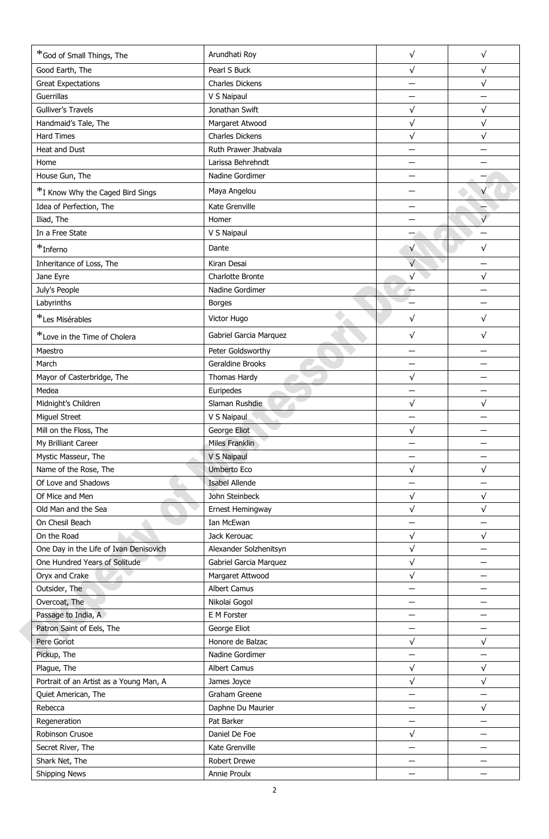| *God of Small Things, The               | Arundhati Roy          | $\sqrt{}$  | $\sqrt{}$ |
|-----------------------------------------|------------------------|------------|-----------|
| Good Earth, The                         | Pearl S Buck           | $\sqrt{ }$ | $\sqrt{}$ |
| <b>Great Expectations</b>               | Charles Dickens        |            | $\sqrt{}$ |
| Guerrillas                              | V S Naipaul            |            |           |
| Gulliver's Travels                      | Jonathan Swift         | $\sqrt{}$  | $\sqrt{}$ |
| Handmaid's Tale, The                    | Margaret Atwood        | $\sqrt{}$  | $\sqrt{}$ |
| <b>Hard Times</b>                       | <b>Charles Dickens</b> | $\sqrt{}$  | $\sqrt{}$ |
| Heat and Dust                           | Ruth Prawer Jhabvala   |            |           |
| Home                                    | Larissa Behrehndt      |            |           |
| House Gun, The                          | Nadine Gordimer        |            |           |
| *I Know Why the Caged Bird Sings        | Maya Angelou           |            |           |
| Idea of Perfection, The                 | Kate Grenville         |            |           |
| Iliad, The                              | Homer                  |            | $\sqrt{}$ |
| In a Free State                         | V S Naipaul            |            |           |
|                                         |                        |            |           |
| $*$ Inferno                             | Dante                  | $\sqrt{ }$ | $\sqrt{}$ |
| Inheritance of Loss, The                | Kiran Desai            | $\sqrt{}$  |           |
| Jane Eyre                               | Charlotte Bronte       | $\sqrt{}$  | $\sqrt{}$ |
| July's People                           | Nadine Gordimer        |            |           |
| Labyrinths                              | <b>Borges</b>          |            |           |
| *Les Misérables                         | Victor Hugo            | $\sqrt{}$  | $\sqrt{}$ |
| *Love in the Time of Cholera            | Gabriel Garcia Marquez | $\sqrt{ }$ | $\sqrt{}$ |
| Maestro                                 | Peter Goldsworthy      |            |           |
| March                                   | Geraldine Brooks       |            |           |
| Mayor of Casterbridge, The              | Thomas Hardy           | $\sqrt{}$  |           |
| Medea                                   | Euripedes              |            |           |
| Midnight's Children                     | Slaman Rushdie         | $\sqrt{}$  | $\sqrt{}$ |
| Miguel Street                           | V S Naipaul            |            |           |
| Mill on the Floss, The                  | George Eliot           | $\sqrt{}$  |           |
| My Brilliant Career                     | Miles Franklin         |            |           |
| Mystic Masseur, The                     | V S Naipaul            |            |           |
| Name of the Rose, The                   | <b>Umberto Eco</b>     | $\sqrt{}$  | $\sqrt{}$ |
| Of Love and Shadows                     | <b>Isabel Allende</b>  |            |           |
| Of Mice and Men                         | John Steinbeck         | $\sqrt{}$  | $\sqrt{}$ |
| Old Man and the Sea                     | Ernest Hemingway       | $\sqrt{}$  | $\sqrt{}$ |
| On Chesil Beach                         | Ian McEwan             |            |           |
| On the Road                             | Jack Kerouac           | $\sqrt{}$  | $\sqrt{}$ |
| One Day in the Life of Ivan Denisovich  | Alexander Solzhenitsyn | $\sqrt{ }$ |           |
| One Hundred Years of Solitude           | Gabriel Garcia Marquez | $\sqrt{}$  |           |
| Oryx and Crake                          | Margaret Attwood       | $\sqrt{ }$ |           |
| Outsider, The                           | <b>Albert Camus</b>    |            |           |
| Overcoat, The                           | Nikolai Gogol          |            |           |
| Passage to India, A                     | E M Forster            |            |           |
| Patron Saint of Eels, The               | George Eliot           |            |           |
| Pere Goriot                             | Honore de Balzac       | $\sqrt{}$  | $\sqrt{}$ |
| Pickup, The                             | Nadine Gordimer        |            |           |
| Plague, The                             | <b>Albert Camus</b>    | $\sqrt{}$  | $\sqrt{}$ |
| Portrait of an Artist as a Young Man, A | James Joyce            | $\sqrt{}$  | $\sqrt{}$ |
| Quiet American, The                     | Graham Greene          |            |           |
| Rebecca                                 | Daphne Du Maurier      |            | $\sqrt{}$ |
| Regeneration                            | Pat Barker             |            |           |
| Robinson Crusoe                         | Daniel De Foe          | $\sqrt{}$  |           |
| Secret River, The                       | Kate Grenville         |            |           |
| Shark Net, The                          | Robert Drewe           |            |           |
| Shipping News                           | Annie Proulx           |            |           |
|                                         |                        |            |           |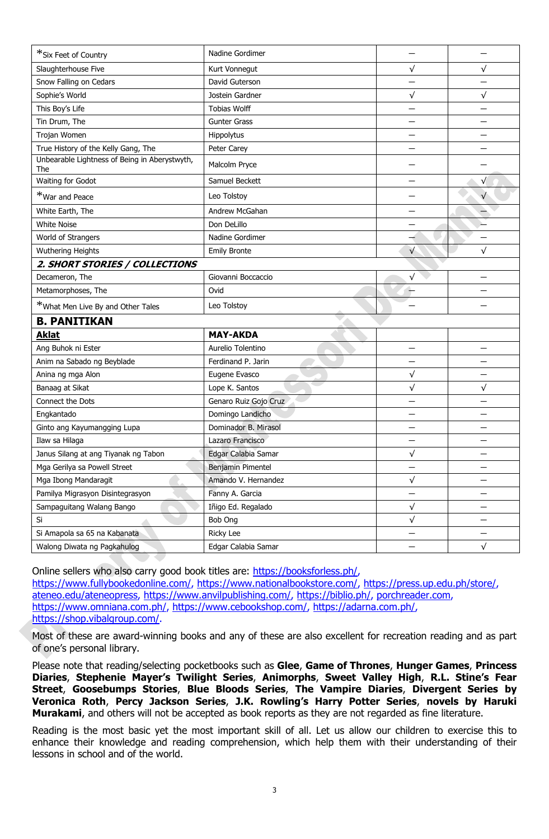| *Six Feet of Country                                 | Nadine Gordimer       |                          |           |
|------------------------------------------------------|-----------------------|--------------------------|-----------|
| Slaughterhouse Five                                  | Kurt Vonnegut         | $\sqrt{}$                | $\sqrt{}$ |
| Snow Falling on Cedars                               | David Guterson        |                          |           |
| Sophie's World                                       | Jostein Gardner       | $\sqrt{}$                | $\sqrt{}$ |
| This Boy's Life                                      | <b>Tobias Wolff</b>   |                          |           |
| Tin Drum, The                                        | <b>Gunter Grass</b>   |                          |           |
| Trojan Women                                         | Hippolytus            |                          |           |
| True History of the Kelly Gang, The                  | Peter Carey           |                          |           |
| Unbearable Lightness of Being in Aberystwyth,<br>The | Malcolm Pryce         |                          |           |
| Waiting for Godot                                    | Samuel Beckett        |                          | $\sqrt{}$ |
| *War and Peace                                       | Leo Tolstoy           |                          |           |
| White Earth, The                                     | Andrew McGahan        |                          |           |
| <b>White Noise</b>                                   | Don DeLillo           |                          |           |
| World of Strangers                                   | Nadine Gordimer       |                          |           |
| Wuthering Heights                                    | <b>Emily Bronte</b>   | $\sqrt{}$                | √         |
| 2. SHORT STORIES / COLLECTIONS                       |                       |                          |           |
| Decameron, The                                       | Giovanni Boccaccio    | $\sqrt{}$                |           |
| Metamorphoses, The                                   | Ovid                  |                          |           |
| *What Men Live By and Other Tales                    | Leo Tolstoy           |                          |           |
| <b>B. PANITIKAN</b>                                  |                       |                          |           |
| <b>Aklat</b>                                         | <b>MAY-AKDA</b>       |                          |           |
| Ang Buhok ni Ester                                   | Aurelio Tolentino     | $\overline{\phantom{0}}$ |           |
| Anim na Sabado ng Beyblade                           | Ferdinand P. Jarin    |                          |           |
| Anina ng mga Alon                                    | Eugene Evasco         | $\sqrt{}$                |           |
| Banaag at Sikat                                      | Lope K. Santos        | $\sqrt{}$                | $\sqrt{}$ |
| Connect the Dots                                     | Genaro Ruiz Gojo Cruz |                          |           |
| Engkantado                                           | Domingo Landicho      |                          |           |
| Ginto ang Kayumangging Lupa                          | Dominador B. Mirasol  |                          |           |
| Ilaw sa Hilaga                                       | Lazaro Francisco      |                          |           |
| Janus Silang at ang Tiyanak ng Tabon                 | Edgar Calabia Samar   | $\sqrt{}$                |           |
| Mga Gerilya sa Powell Street                         | Benjamin Pimentel     |                          |           |
| Mga Ibong Mandaragit                                 | Amando V. Hernandez   | $\sqrt{}$                |           |
| Pamilya Migrasyon Disintegrasyon                     | Fanny A. Garcia       | $\qquad \qquad$          | —         |
| Sampaguitang Walang Bango                            | Iñigo Ed. Regalado    | $\sqrt{}$                |           |
| Si                                                   | Bob Ong               | $\sqrt{}$                |           |
| Si Amapola sa 65 na Kabanata                         | <b>Ricky Lee</b>      |                          |           |
| Walong Diwata ng Pagkahulog                          | Edgar Calabia Samar   |                          |           |

Online sellers who also carry good book titles are: [https://booksforless.ph/,](https://booksforless.ph/) [https://www.fullybookedonline.com/,](https://www.fullybookedonline.com/) [https://www.nationalbookstore.com/,](https://www.nationalbookstore.com/) [https://press.up.edu.ph/store/,](https://press.up.edu.ph/store/) [ateneo.edu/ateneopress,](http://ateneo.edu/ateneopress) [https://www.anvilpublishing.com/,](https://www.anvilpublishing.com/) [https://biblio.ph/,](https://biblio.ph/) [porchreader.com,](http://porchreader.com/) [https://www.omniana.com.ph/,](https://www.omniana.com.ph/) [https://www.cebookshop.com/,](https://www.cebookshop.com/) [https://adarna.com.ph/,](https://adarna.com.ph/) [https://shop.vibalgroup.com/.](https://shop.vibalgroup.com/)

Most of these are award-winning books and any of these are also excellent for recreation reading and as part of one's personal library.

Please note that reading/selecting pocketbooks such as **Glee**, **Game of Thrones**, **Hunger Games**, **Princess Diaries**, **Stephenie Mayer's Twilight Series**, **Animorphs**, **Sweet Valley High**, **R.L. Stine's Fear Street**, **Goosebumps Stories**, **Blue Bloods Series**, **The Vampire Diaries**, **Divergent Series by Veronica Roth**, **Percy Jackson Series**, **J.K. Rowling's Harry Potter Series**, **novels by Haruki Murakami**, and others will not be accepted as book reports as they are not regarded as fine literature.

Reading is the most basic yet the most important skill of all. Let us allow our children to exercise this to enhance their knowledge and reading comprehension, which help them with their understanding of their lessons in school and of the world.